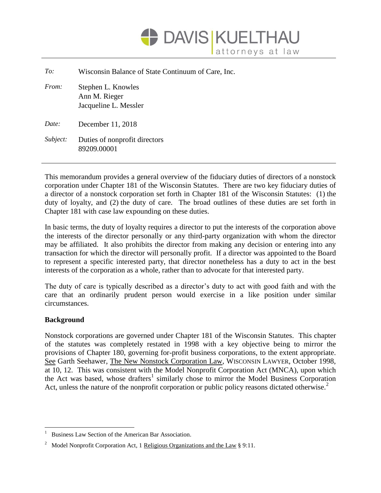

| To:      | Wisconsin Balance of State Continuum of Care, Inc.           |
|----------|--------------------------------------------------------------|
| From:    | Stephen L. Knowles<br>Ann M. Rieger<br>Jacqueline L. Messler |
| Date:    | December 11, 2018                                            |
| Subject: | Duties of nonprofit directors<br>89209.00001                 |

This memorandum provides a general overview of the fiduciary duties of directors of a nonstock corporation under Chapter 181 of the Wisconsin Statutes. There are two key fiduciary duties of a director of a nonstock corporation set forth in Chapter 181 of the Wisconsin Statutes: (1) the duty of loyalty, and (2) the duty of care. The broad outlines of these duties are set forth in Chapter 181 with case law expounding on these duties.

In basic terms, the duty of loyalty requires a director to put the interests of the corporation above the interests of the director personally or any third-party organization with whom the director may be affiliated. It also prohibits the director from making any decision or entering into any transaction for which the director will personally profit. If a director was appointed to the Board to represent a specific interested party, that director nonetheless has a duty to act in the best interests of the corporation as a whole, rather than to advocate for that interested party.

The duty of care is typically described as a director's duty to act with good faith and with the care that an ordinarily prudent person would exercise in a like position under similar circumstances.

# **Background**

 $\overline{a}$ 

Nonstock corporations are governed under Chapter 181 of the Wisconsin Statutes. This chapter of the statutes was completely restated in 1998 with a key objective being to mirror the provisions of Chapter 180, governing for-profit business corporations, to the extent appropriate. See Garth Seehawer, The New Nonstock Corporation Law, WISCONSIN LAWYER, October 1998, at 10, 12. This was consistent with the Model Nonprofit Corporation Act (MNCA), upon which the Act was based, whose drafters<sup>1</sup> similarly chose to mirror the Model Business Corporation Act, unless the nature of the nonprofit corporation or public policy reasons dictated otherwise.<sup>2</sup>

Business Law Section of the American Bar Association.

<sup>&</sup>lt;sup>2</sup> Model Nonprofit Corporation Act, 1 Religious Organizations and the Law § 9:11.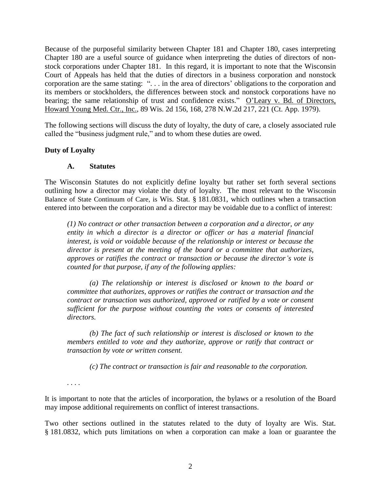Because of the purposeful similarity between Chapter 181 and Chapter 180, cases interpreting Chapter 180 are a useful source of guidance when interpreting the duties of directors of nonstock corporations under Chapter 181. In this regard, it is important to note that the Wisconsin Court of Appeals has held that the duties of directors in a business corporation and nonstock corporation are the same stating: ". . . in the area of directors' obligations to the corporation and its members or stockholders, the differences between stock and nonstock corporations have no bearing; the same relationship of trust and confidence exists." O'Leary v. Bd. of Directors, Howard Young Med. Ctr., Inc., 89 Wis. 2d 156, 168, 278 N.W.2d 217, 221 (Ct. App. 1979).

The following sections will discuss the duty of loyalty, the duty of care, a closely associated rule called the "business judgment rule," and to whom these duties are owed.

### **Duty of Loyalty**

#### **A. Statutes**

The Wisconsin Statutes do not explicitly define loyalty but rather set forth several sections outlining how a director may violate the duty of loyalty. The most relevant to the Wisconsin Balance of State Continuum of Care, is Wis. Stat. § 181.0831, which outlines when a transaction entered into between the corporation and a director may be voidable due to a conflict of interest:

*(1) No contract or other transaction between a corporation and a director, or any entity in which a director is a director or officer or has a material financial interest, is void or voidable because of the relationship or interest or because the director is present at the meeting of the board or a committee that authorizes, approves or ratifies the contract or transaction or because the director's vote is counted for that purpose, if any of the following applies:*

*(a) The relationship or interest is disclosed or known to the board or committee that authorizes, approves or ratifies the contract or transaction and the contract or transaction was authorized, approved or ratified by a vote or consent sufficient for the purpose without counting the votes or consents of interested directors.*

*(b) The fact of such relationship or interest is disclosed or known to the members entitled to vote and they authorize, approve or ratify that contract or transaction by vote or written consent.*

*(c) The contract or transaction is fair and reasonable to the corporation.*

*. . . .* 

It is important to note that the articles of incorporation, the bylaws or a resolution of the Board may impose additional requirements on conflict of interest transactions.

Two other sections outlined in the statutes related to the duty of loyalty are Wis. Stat. § 181.0832, which puts limitations on when a corporation can make a loan or guarantee the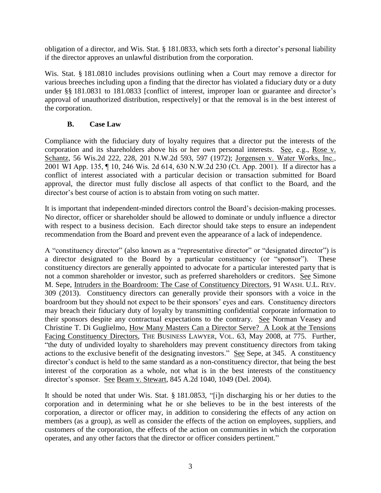obligation of a director, and Wis. Stat. § 181.0833, which sets forth a director's personal liability if the director approves an unlawful distribution from the corporation.

Wis. Stat. § 181.0810 includes provisions outlining when a Court may remove a director for various breeches including upon a finding that the director has violated a fiduciary duty or a duty under §§ 181.0831 to 181.0833 [conflict of interest, improper loan or guarantee and director's approval of unauthorized distribution, respectively] or that the removal is in the best interest of the corporation.

# **B. Case Law**

Compliance with the fiduciary duty of loyalty requires that a director put the interests of the corporation and its shareholders above his or her own personal interests. See, e.g., Rose v. Schantz, 56 Wis.2d 222, 228, 201 N.W.2d 593, 597 (1972); Jorgensen v. Water Works, Inc., 2001 WI App. 135, ¶ 10, 246 Wis. 2d 614, 630 N.W.2d 230 (Ct. App. 2001). If a director has a conflict of interest associated with a particular decision or transaction submitted for Board approval, the director must fully disclose all aspects of that conflict to the Board, and the director's best course of action is to abstain from voting on such matter.

It is important that independent-minded directors control the Board's decision-making processes. No director, officer or shareholder should be allowed to dominate or unduly influence a director with respect to a business decision. Each director should take steps to ensure an independent recommendation from the Board and prevent even the appearance of a lack of independence.

A "constituency director" (also known as a "representative director" or "designated director") is a director designated to the Board by a particular constituency (or "sponsor"). These constituency directors are generally appointed to advocate for a particular interested party that is not a common shareholder or investor, such as preferred shareholders or creditors. See Simone M. Sepe, Intruders in the Boardroom: The Case of Constituency Directors, 91 WASH. U.L. REV. 309 (2013). Constituency directors can generally provide their sponsors with a voice in the boardroom but they should not expect to be their sponsors' eyes and ears. Constituency directors may breach their fiduciary duty of loyalty by transmitting confidential corporate information to their sponsors despite any contractual expectations to the contrary. See Norman Veasey and Christine T. Di Guglielmo, How Many Masters Can a Director Serve? A Look at the Tensions Facing Constituency Directors, THE BUSINESS LAWYER, VOL. 63, May 2008, at 775. Further, "the duty of undivided loyalty to shareholders may prevent constituency directors from taking actions to the exclusive benefit of the designating investors." See Sepe, at 345. A constituency director's conduct is held to the same standard as a non-constituency director, that being the best interest of the corporation as a whole, not what is in the best interests of the constituency director's sponsor. See Beam v. Stewart*,* 845 A.2d 1040, 1049 (Del. 2004).

It should be noted that under Wis. Stat. § 181.0853, "[i]n discharging his or her duties to the corporation and in determining what he or she believes to be in the best interests of the corporation, a director or officer may, in addition to considering the effects of any action on members (as a group), as well as consider the effects of the action on employees, suppliers, and customers of the corporation, the effects of the action on communities in which the corporation operates, and any other factors that the director or officer considers pertinent."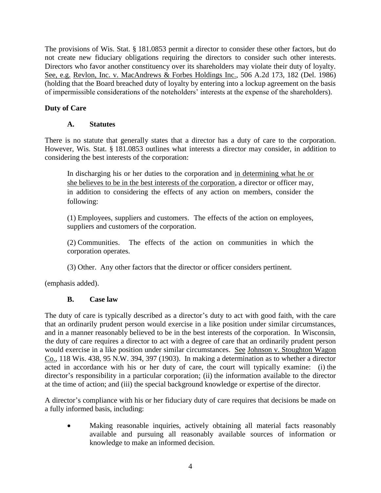The provisions of Wis. Stat. § 181.0853 permit a director to consider these other factors, but do not create new fiduciary obligations requiring the directors to consider such other interests. Directors who favor another constituency over its shareholders may violate their duty of loyalty. See, e.g. Revlon, Inc. v. MacAndrews & Forbes Holdings Inc., 506 A.2d 173, 182 (Del. 1986) (holding that the Board breached duty of loyalty by entering into a lockup agreement on the basis of impermissible considerations of the noteholders' interests at the expense of the shareholders).

# **Duty of Care**

# **A. Statutes**

There is no statute that generally states that a director has a duty of care to the corporation. However, Wis. Stat. § 181.0853 outlines what interests a director may consider, in addition to considering the best interests of the corporation:

In discharging his or her duties to the corporation and in determining what he or she believes to be in the best interests of the corporation, a director or officer may, in addition to considering the effects of any action on members, consider the following:

(1) Employees, suppliers and customers. The effects of the action on employees, suppliers and customers of the corporation.

(2) Communities. The effects of the action on communities in which the corporation operates.

(3) Other. Any other factors that the director or officer considers pertinent.

(emphasis added).

# **B. Case law**

The duty of care is typically described as a director's duty to act with good faith, with the care that an ordinarily prudent person would exercise in a like position under similar circumstances, and in a manner reasonably believed to be in the best interests of the corporation. In Wisconsin, the duty of care requires a director to act with a degree of care that an ordinarily prudent person would exercise in a like position under similar circumstances. See Johnson v. Stoughton Wagon Co., 118 Wis. 438, 95 N.W. 394, 397 (1903). In making a determination as to whether a director acted in accordance with his or her duty of care, the court will typically examine: (i) the director's responsibility in a particular corporation; (ii) the information available to the director at the time of action; and (iii) the special background knowledge or expertise of the director.

A director's compliance with his or her fiduciary duty of care requires that decisions be made on a fully informed basis, including:

 Making reasonable inquiries, actively obtaining all material facts reasonably available and pursuing all reasonably available sources of information or knowledge to make an informed decision.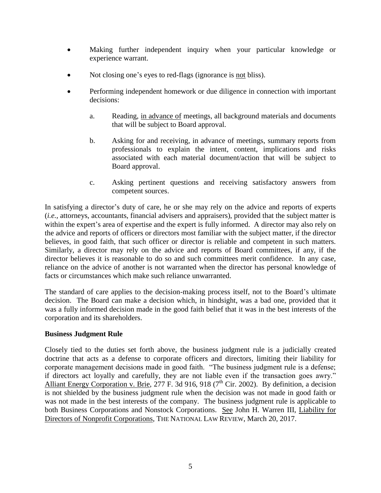- Making further independent inquiry when your particular knowledge or experience warrant.
- Not closing one's eyes to red-flags (ignorance is not bliss).
- Performing independent homework or due diligence in connection with important decisions:
	- a. Reading, in advance of meetings, all background materials and documents that will be subject to Board approval.
	- b. Asking for and receiving, in advance of meetings, summary reports from professionals to explain the intent, content, implications and risks associated with each material document/action that will be subject to Board approval.
	- c. Asking pertinent questions and receiving satisfactory answers from competent sources.

In satisfying a director's duty of care, he or she may rely on the advice and reports of experts (*i.e.,* attorneys, accountants, financial advisers and appraisers), provided that the subject matter is within the expert's area of expertise and the expert is fully informed. A director may also rely on the advice and reports of officers or directors most familiar with the subject matter, if the director believes, in good faith, that such officer or director is reliable and competent in such matters. Similarly, a director may rely on the advice and reports of Board committees, if any, if the director believes it is reasonable to do so and such committees merit confidence. In any case, reliance on the advice of another is not warranted when the director has personal knowledge of facts or circumstances which make such reliance unwarranted.

The standard of care applies to the decision-making process itself, not to the Board's ultimate decision. The Board can make a decision which, in hindsight, was a bad one, provided that it was a fully informed decision made in the good faith belief that it was in the best interests of the corporation and its shareholders.

# **Business Judgment Rule**

Closely tied to the duties set forth above, the business judgment rule is a judicially created doctrine that acts as a defense to corporate officers and directors, limiting their liability for corporate management decisions made in good faith. "The business judgment rule is a defense; if directors act loyally and carefully, they are not liable even if the transaction goes awry." Alliant Energy Corporation v. Brie, 277 F. 3d 916, 918 ( $7<sup>th</sup>$  Cir. 2002). By definition, a decision is not shielded by the business judgment rule when the decision was not made in good faith or was not made in the best interests of the company. The business judgment rule is applicable to both Business Corporations and Nonstock Corporations. See John H. Warren III, Liability for Directors of Nonprofit Corporations, THE NATIONAL LAW REVIEW, March 20, 2017.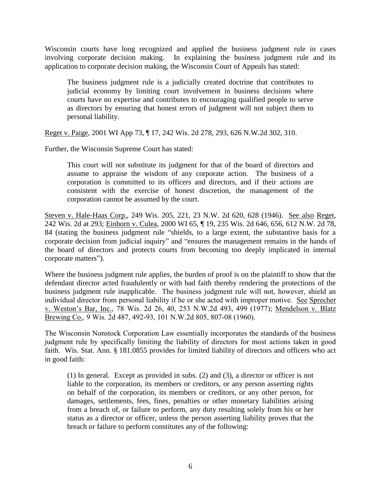Wisconsin courts have long recognized and applied the business judgment rule in cases involving corporate decision making. In explaining the business judgment rule and its application to corporate decision making, the Wisconsin Court of Appeals has stated:

The business judgment rule is a judicially created doctrine that contributes to judicial economy by limiting court involvement in business decisions where courts have no expertise and contributes to encouraging qualified people to serve as directors by ensuring that honest errors of judgment will not subject them to personal liability.

Reget v. Paige, 2001 WI App 73, ¶ 17, 242 Wis. 2d 278, 293, 626 N.W.2d 302, 310.

Further, the Wisconsin Supreme Court has stated:

This court will not substitute its judgment for that of the board of directors and assume to appraise the wisdom of any corporate action. The business of a corporation is committed to its officers and directors, and if their actions are consistent with the exercise of honest discretion, the management of the corporation cannot be assumed by the court.

Steven v. Hale-Haas Corp., 249 Wis. 205, 221, 23 N.W. 2d 620, 628 (1946). See also Reget, 242 Wis. 2d at 293; Einhorn v. Culea, 2000 WI 65, ¶ 19, 235 Wis. 2d 646, 656, 612 N.W. 2d 78, 84 (stating the business judgment rule "shields, to a large extent, the substantive basis for a corporate decision from judicial inquiry" and "ensures the management remains in the hands of the board of directors and protects courts from becoming too deeply implicated in internal corporate matters").

Where the business judgment rule applies, the burden of proof is on the plaintiff to show that the defendant director acted fraudulently or with bad faith thereby rendering the protections of the business judgment rule inapplicable. The business judgment rule will not, however, shield an individual director from personal liability if he or she acted with improper motive. See Sprecher v. Weston's Bar, Inc., 78 Wis. 2d 26, 40, 253 N.W.2d 493, 499 (1977); Mendelson v. Blatz Brewing Co.*,* 9 Wis. 2d 487, 492-93, 101 N.W.2d 805, 807-08 (1960).

The Wisconsin Nonstock Corporation Law essentially incorporates the standards of the business judgment rule by specifically limiting the liability of directors for most actions taken in good faith. Wis. Stat. Ann. § 181.0855 provides for limited liability of directors and officers who act in good faith:

(1) In general. Except as provided in subs. (2) and (3), a director or officer is not liable to the corporation, its members or creditors, or any person asserting rights on behalf of the corporation, its members or creditors, or any other person, for damages, settlements, fees, fines, penalties or other monetary liabilities arising from a breach of, or failure to perform, any duty resulting solely from his or her status as a director or officer, unless the person asserting liability proves that the breach or failure to perform constitutes any of the following: